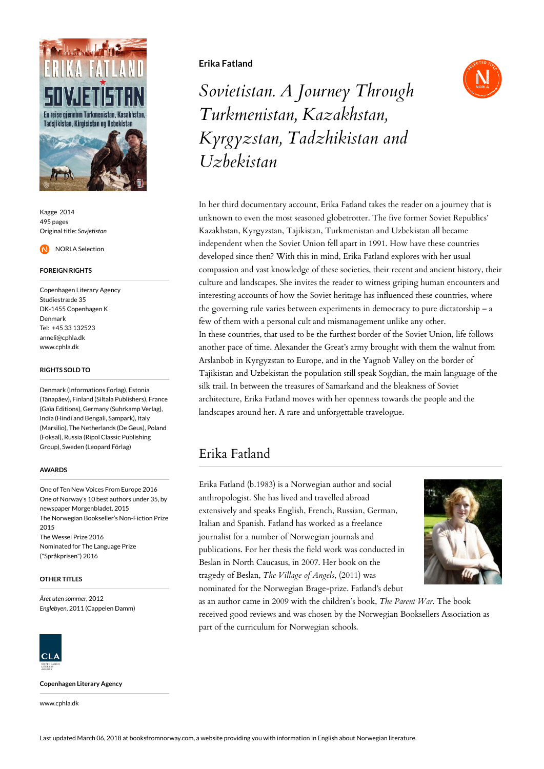

Kagge 2014 495 pages Original title: *Sovjetistan*

NORLA Selection

### **FOREIGN RIGHTS**

Copenhagen Literary Agency Studiestræde 35 DK-1455 Copenhagen K Denmark Tel: +45 33 132523 anneli@cphla.dk www.cphla.dk

## **RIGHTS SOLD TO**

Denmark (Informations Forlag), Estonia (Tänapäev), Finland (Siltala Publishers), France (Gaïa Editions), Germany (Suhrkamp Verlag), India (Hindi and Bengali, Sampark), Italy (Marsilio), The Netherlands (De Geus), Poland (Foksal), Russia (Ripol Classic Publishing Group), Sweden (Leopard Förlag)

#### **AWARDS**

One of Ten New Voices From Europe 2016 One of Norway's 10 best authors under 35, by newspaper Morgenbladet, 2015 The Norwegian Bookseller's Non-Fiction Prize 2015 The Wessel Prize 2016 Nominated for The Language Prize ("Språkprisen") 2016

#### **OTHER TITLES**

*Året uten sommer*, 2012 *Englebyen*, 2011 (Cappelen Damm)



**Copenhagen Literary Agency**

www.cphla.dk

# **Erika Fatland**



*Sovietistan. A Journey Through Turkmenistan, Kazakhstan, Kyrgyzstan, Tadzhikistan and Uzbekistan*

In her third documentary account, Erika Fatland takes the reader on a journey that is unknown to even the most seasoned globetrotter. The five former Soviet Republics' Kazakhstan, Kyrgyzstan, Tajikistan, Turkmenistan and Uzbekistan all became independent when the Soviet Union fell apart in 1991. How have these countries developed since then? With this in mind, Erika Fatland explores with her usual compassion and vast knowledge of these societies, their recent and ancient history, their culture and landscapes. She invites the reader to witness griping human encounters and interesting accounts of how the Soviet heritage has influenced these countries, where the governing rule varies between experiments in democracy to pure dictatorship – a few of them with a personal cult and mismanagement unlike any other. In these countries, that used to be the furthest border of the Soviet Union, life follows another pace of time. Alexander the Great's army brought with them the walnut from Arslanbob in Kyrgyzstan to Europe, and in the Yagnob Valley on the border of Tajikistan and Uzbekistan the population still speak Sogdian, the main language of the silk trail. In between the treasures of Samarkand and the bleakness of Soviet architecture, Erika Fatland moves with her openness towards the people and the landscapes around her. A rare and unforgettable travelogue.

# Erika Fatland

Erika Fatland (b.1983) is a Norwegian author and social anthropologist. She has lived and travelled abroad extensively and speaks English, French, Russian, German, Italian and Spanish. Fatland has worked as a freelance journalist for a number of Norwegian journals and publications. For her thesis the field work was conducted in Beslan in North Caucasus, in 2007. Her book on the tragedy of Beslan, *The Village of Angels*, (2011) was nominated for the Norwegian Brage-prize. Fatland's debut



as an author came in 2009 with the children's book, *The Parent War*. The book received good reviews and was chosen by the Norwegian Booksellers Association as part of the curriculum for Norwegian schools.